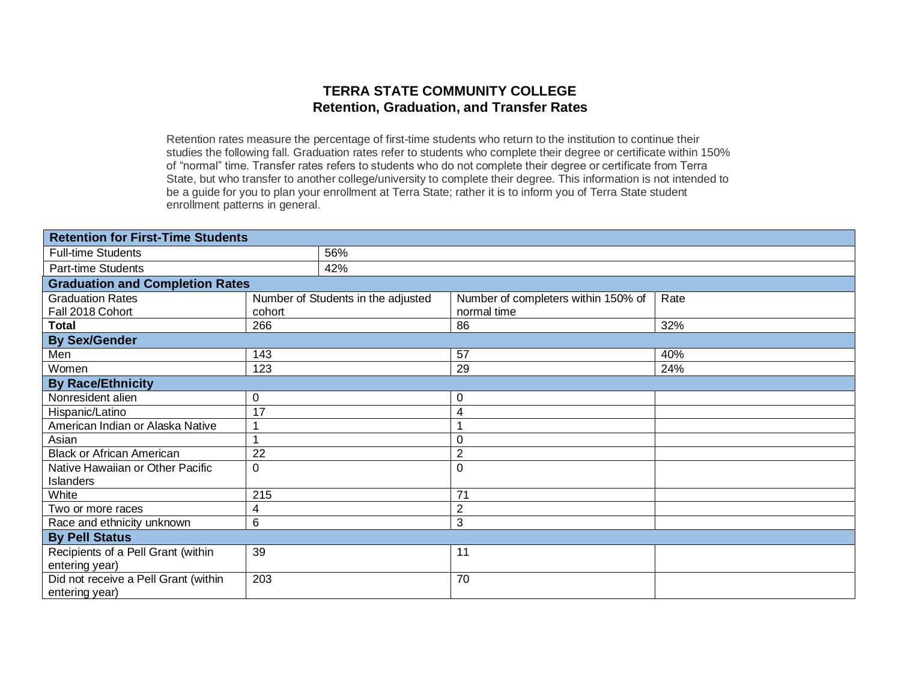#### **TERRA STATE COMMUNITY COLLEGE Retention, Graduation, and Transfer Rates**

Retention rates measure the percentage of first-time students who return to the institution to continue their studies the following fall. Graduation rates refer to students who complete their degree or certificate within 150% of "normal" time. Transfer rates refers to students who do not complete their degree or certificate from Terra State, but who transfer to another college/university to complete their degree. This information is not intended to be a guide for you to plan your enrollment at Terra State; rather it is to inform you of Terra State student enrollment patterns in general.

| <b>Retention for First-Time Students</b>               |             |                                    |                                     |      |
|--------------------------------------------------------|-------------|------------------------------------|-------------------------------------|------|
| <b>Full-time Students</b>                              |             | 56%                                |                                     |      |
| <b>Part-time Students</b>                              |             | 42%                                |                                     |      |
| <b>Graduation and Completion Rates</b>                 |             |                                    |                                     |      |
| <b>Graduation Rates</b>                                |             | Number of Students in the adjusted | Number of completers within 150% of | Rate |
| Fall 2018 Cohort                                       | cohort      |                                    | normal time                         |      |
| <b>Total</b>                                           | 266         |                                    | 86                                  | 32%  |
| <b>By Sex/Gender</b>                                   |             |                                    |                                     |      |
| Men                                                    | 143         |                                    | 57                                  | 40%  |
| Women                                                  | 123         |                                    | 29                                  | 24%  |
| <b>By Race/Ethnicity</b>                               |             |                                    |                                     |      |
| Nonresident alien                                      | $\mathbf 0$ |                                    | $\boldsymbol{0}$                    |      |
| Hispanic/Latino                                        | 17          |                                    | 4                                   |      |
| American Indian or Alaska Native                       |             |                                    |                                     |      |
| Asian                                                  |             |                                    | 0                                   |      |
| <b>Black or African American</b>                       | 22          |                                    | $\overline{2}$                      |      |
| Native Hawaiian or Other Pacific                       | $\mathbf 0$ |                                    | $\mathbf 0$                         |      |
| Islanders                                              |             |                                    |                                     |      |
| White                                                  | 215         |                                    | 71                                  |      |
| Two or more races                                      | 4           |                                    | $\overline{2}$                      |      |
| Race and ethnicity unknown                             | 6           |                                    | 3                                   |      |
| <b>By Pell Status</b>                                  |             |                                    |                                     |      |
| Recipients of a Pell Grant (within<br>entering year)   | 39          |                                    | 11                                  |      |
| Did not receive a Pell Grant (within<br>entering year) | 203         |                                    | 70                                  |      |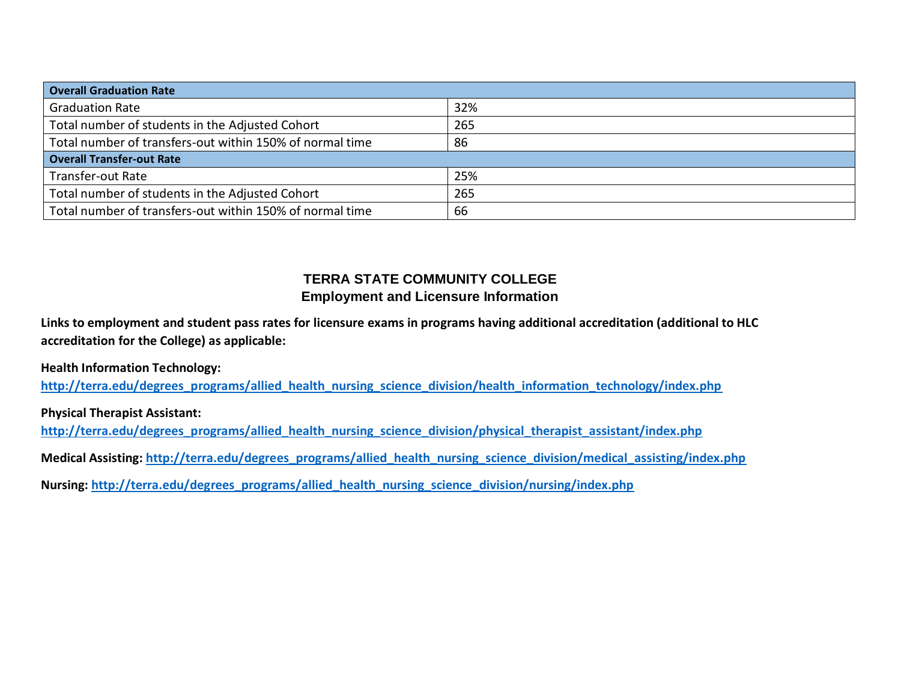| <b>Overall Graduation Rate</b>                           |     |
|----------------------------------------------------------|-----|
| <b>Graduation Rate</b>                                   | 32% |
| Total number of students in the Adjusted Cohort          | 265 |
| Total number of transfers-out within 150% of normal time | 86  |
| <b>Overall Transfer-out Rate</b>                         |     |
| Transfer-out Rate                                        | 25% |
| Total number of students in the Adjusted Cohort          | 265 |
| Total number of transfers-out within 150% of normal time | 66  |

#### **TERRA STATE COMMUNITY COLLEGE Employment and Licensure Information**

**Links to employment and student pass rates for licensure exams in programs having additional accreditation (additional to HLC accreditation for the College) as applicable:**

**Health Information Technology:** 

**[http://terra.edu/degrees\\_programs/allied\\_health\\_nursing\\_science\\_division/health\\_information\\_technology/index.php](http://terra.edu/degrees_programs/allied_health_nursing_science_division/health_information_technology/index.php)**

**Physical Therapist Assistant:** 

**[http://terra.edu/degrees\\_programs/allied\\_health\\_nursing\\_science\\_division/physical\\_therapist\\_assistant/index.php](http://terra.edu/degrees_programs/allied_health_nursing_science_division/physical_therapist_assistant/index.php)**

**Medical Assisting: [http://terra.edu/degrees\\_programs/allied\\_health\\_nursing\\_science\\_division/medical\\_assisting/index.php](http://terra.edu/degrees_programs/allied_health_nursing_science_division/medical_assisting/index.php)**

**Nursing: [http://terra.edu/degrees\\_programs/allied\\_health\\_nursing\\_science\\_division/nursing/index.php](http://terra.edu/degrees_programs/allied_health_nursing_science_division/nursing/index.php)**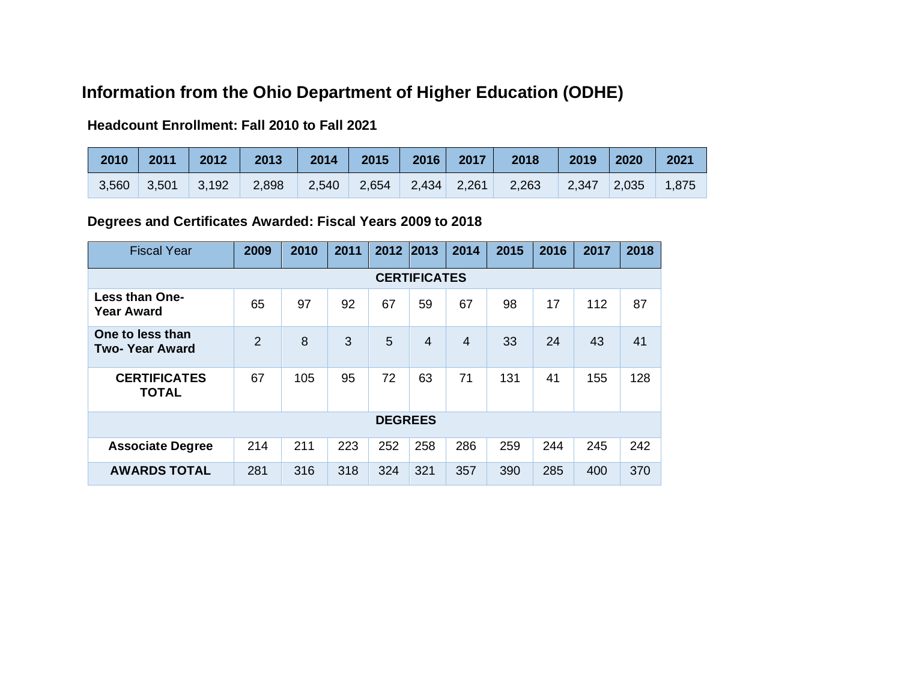# **Information from the Ohio Department of Higher Education (ODHE)**

### **Headcount Enrollment: Fall 2010 to Fall 2021**

| 2010  | 2011  | 2012  | 2013  | 2014  | 2015  | 2016        | 2017 | 2018  | 2019  | 2020  | 2021  |
|-------|-------|-------|-------|-------|-------|-------------|------|-------|-------|-------|-------|
| 3,560 | 3,501 | 3,192 | 2,898 | 2,540 | 2,654 | 2,434 2,261 |      | 2,263 | 2,347 | 2,035 | 1,875 |

## **Degrees and Certificates Awarded: Fiscal Years 2009 to 2018**

| <b>Fiscal Year</b>                         | 2009           | 2010 | 2011 | 2012           | 2013           | 2014           | 2015 | 2016 | 2017 | 2018 |  |
|--------------------------------------------|----------------|------|------|----------------|----------------|----------------|------|------|------|------|--|
| <b>CERTIFICATES</b>                        |                |      |      |                |                |                |      |      |      |      |  |
| <b>Less than One-</b><br><b>Year Award</b> | 65             | 97   | 92   | 67             | 59             | 67             | 98   | 17   | 112  | 87   |  |
| One to less than<br><b>Two-Year Award</b>  | $\overline{2}$ | 8    | 3    | 5              | $\overline{4}$ | $\overline{4}$ | 33   | 24   | 43   | 41   |  |
| <b>CERTIFICATES</b><br><b>TOTAL</b>        | 67             | 105  | 95   | 72             | 63             | 71             | 131  | 41   | 155  | 128  |  |
|                                            |                |      |      | <b>DEGREES</b> |                |                |      |      |      |      |  |
| <b>Associate Degree</b>                    | 214            | 211  | 223  | 252            | 258            | 286            | 259  | 244  | 245  | 242  |  |
| <b>AWARDS TOTAL</b>                        | 281            | 316  | 318  | 324            | 321            | 357            | 390  | 285  | 400  | 370  |  |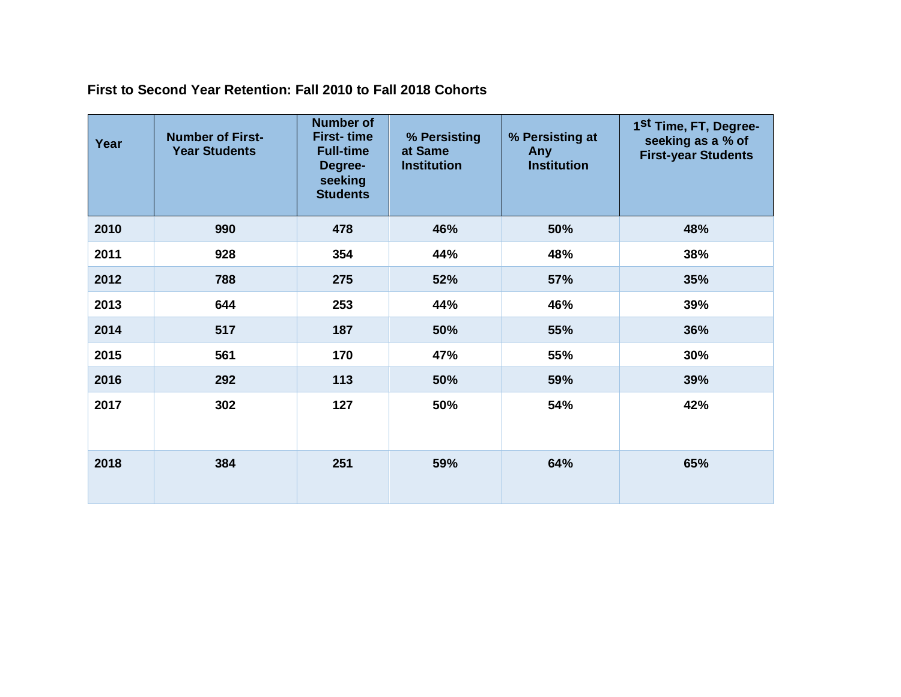**First to Second Year Retention: Fall 2010 to Fall 2018 Cohorts**

| Year | <b>Number of First-</b><br><b>Year Students</b> | <b>Number of</b><br><b>First-time</b><br><b>Full-time</b><br>Degree-<br>seeking<br><b>Students</b> | % Persisting<br>at Same<br><b>Institution</b> | % Persisting at<br>Any<br><b>Institution</b> | 1 <sup>St</sup> Time, FT, Degree-<br>seeking as a % of<br><b>First-year Students</b> |
|------|-------------------------------------------------|----------------------------------------------------------------------------------------------------|-----------------------------------------------|----------------------------------------------|--------------------------------------------------------------------------------------|
| 2010 | 990                                             | 478                                                                                                | 46%                                           | 50%                                          | 48%                                                                                  |
| 2011 | 928                                             | 354                                                                                                | 44%                                           | 48%                                          | 38%                                                                                  |
| 2012 | 788                                             | 275                                                                                                | 52%                                           | 57%                                          | 35%                                                                                  |
| 2013 | 644                                             | 253                                                                                                | 44%                                           | 46%                                          | 39%                                                                                  |
| 2014 | 517                                             | 187                                                                                                | 50%                                           | 55%                                          | 36%                                                                                  |
| 2015 | 561                                             | 170                                                                                                | 47%                                           | 55%                                          | 30%                                                                                  |
| 2016 | 292                                             | 113                                                                                                | 50%                                           | 59%                                          | 39%                                                                                  |
| 2017 | 302                                             | 127                                                                                                | 50%                                           | 54%                                          | 42%                                                                                  |
| 2018 | 384                                             | 251                                                                                                | 59%                                           | 64%                                          | 65%                                                                                  |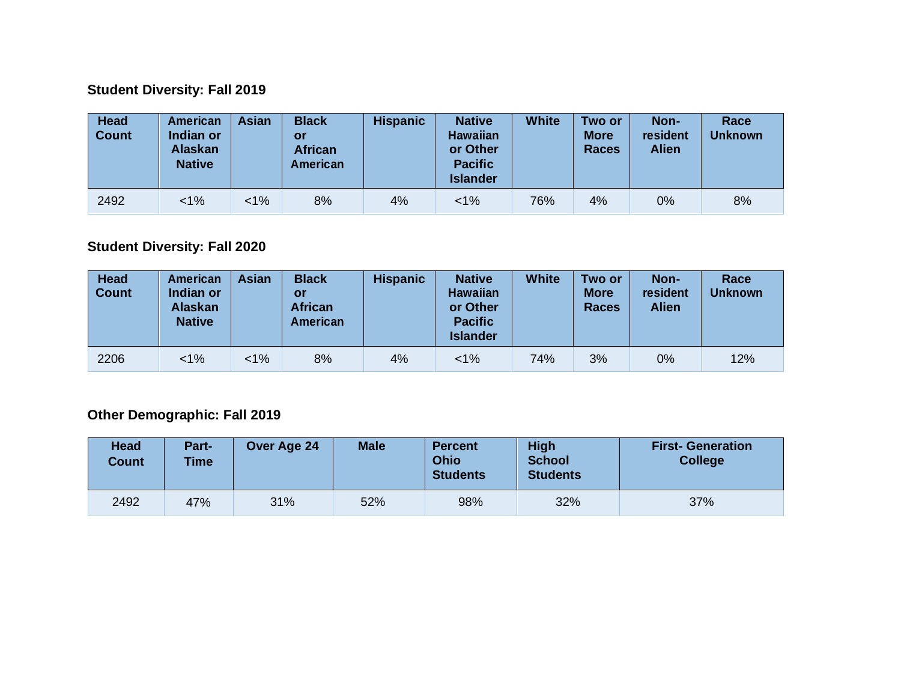## **Student Diversity: Fall 2019**

| <b>Head</b><br><b>Count</b> | <b>American</b><br>Indian or<br><b>Alaskan</b><br><b>Native</b> | <b>Asian</b> | <b>Black</b><br>or<br><b>African</b><br><b>American</b> | <b>Hispanic</b> | <b>Native</b><br><b>Hawaiian</b><br>or Other<br><b>Pacific</b><br><b>Islander</b> | <b>White</b> | Two or<br><b>More</b><br><b>Races</b> | Non-<br>resident<br><b>Alien</b> | Race<br><b>Unknown</b> |
|-----------------------------|-----------------------------------------------------------------|--------------|---------------------------------------------------------|-----------------|-----------------------------------------------------------------------------------|--------------|---------------------------------------|----------------------------------|------------------------|
| 2492                        | $1\%$                                                           | $1\%$        | 8%                                                      | 4%              | $< 1\%$                                                                           | 76%          | 4%                                    | $0\%$                            | 8%                     |

## **Student Diversity: Fall 2020**

| <b>Head</b><br><b>Count</b> | American<br>Indian or<br><b>Alaskan</b><br><b>Native</b> | <b>Asian</b> | <b>Black</b><br>or<br><b>African</b><br><b>American</b> | <b>Hispanic</b> | <b>Native</b><br><b>Hawaiian</b><br>or Other<br><b>Pacific</b><br><b>Islander</b> | <b>White</b> | Two or<br><b>More</b><br><b>Races</b> | Non-<br>resident<br><b>Alien</b> | Race<br><b>Unknown</b> |
|-----------------------------|----------------------------------------------------------|--------------|---------------------------------------------------------|-----------------|-----------------------------------------------------------------------------------|--------------|---------------------------------------|----------------------------------|------------------------|
| 2206                        | $1\%$                                                    | $< 1\%$      | 8%                                                      | 4%              | $< 1\%$                                                                           | 74%          | 3%                                    | 0%                               | 12%                    |

## **Other Demographic: Fall 2019**

| Head<br><b>Count</b> | Part-<br><b>Time</b> | Over Age 24 | <b>Male</b> | <b>Percent</b><br>Ohio<br><b>Students</b> | <b>High</b><br><b>School</b><br><b>Students</b> | <b>First- Generation</b><br><b>College</b> |
|----------------------|----------------------|-------------|-------------|-------------------------------------------|-------------------------------------------------|--------------------------------------------|
| 2492                 | 47%                  | 31%         | 52%         | 98%                                       | 32%                                             | 37%                                        |